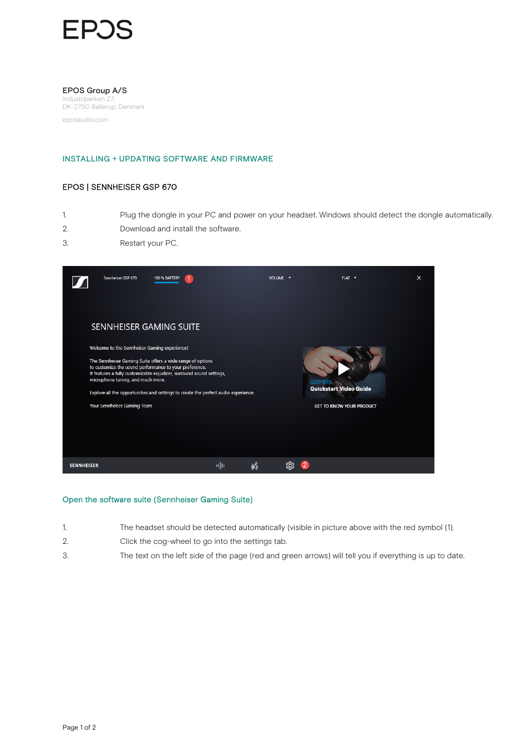# EP.

#### EPOS Group A/S

Industriparken 2 DK-2750 Ballerup, Denmark

eposaudio.com

### INSTALLING + UPDATING SOFTWARE AND FIRMWARE

## EPOS | SENNHEISER GSP 670

- 1. Plug the dongle in your PC and power on your headset. Windows should detect the dongle automatically.
- 2. Download and install the software.
- 3. Restart your PC.



#### Open the software suite (Sennheiser Gaming Suite)

- 1. The headset should be detected automatically (visible in picture above with the red symbol (1).
- 2. Click the cog-wheel to go into the settings tab.
- 3. The text on the left side of the page (red and green arrows) will tell you if everything is up to date.